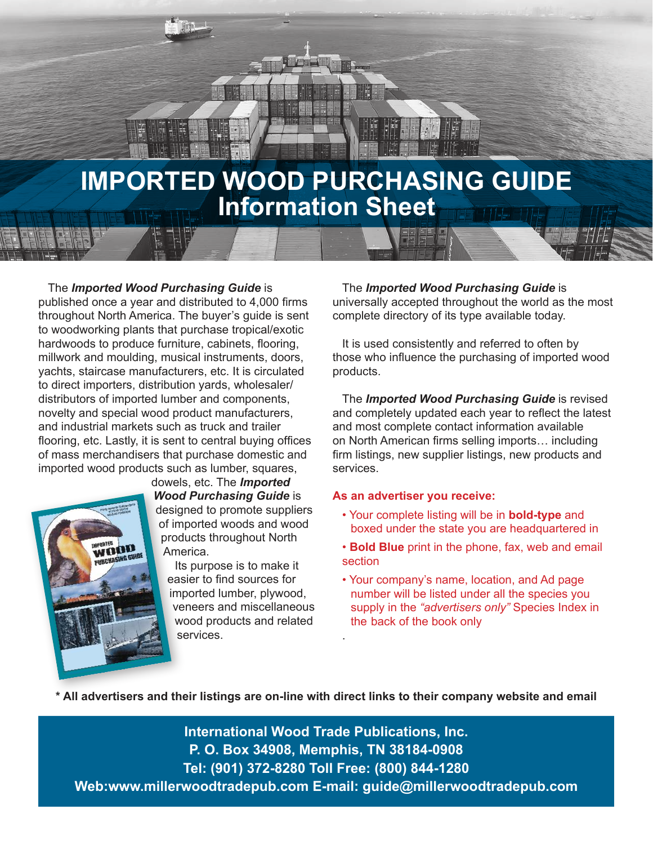

The *Imported Wood Purchasing Guide* is published once a year and distributed to 4,000 firms throughout North America. The buyer's guide is sent to woodworking plants that purchase tropical/exotic hardwoods to produce furniture, cabinets, flooring, millwork and moulding, musical instruments, doors, yachts, staircase manufacturers, etc. It is circulated to direct importers, distribution yards, wholesaler/ distributors of imported lumber and components, novelty and special wood product manufacturers, and industrial markets such as truck and trailer flooring, etc. Lastly, it is sent to central buying offices of mass merchandisers that purchase domestic and imported wood products such as lumber, squares,



dowels, etc. The *Imported Wood Purchasing Guide* is designed to promote suppliers of imported woods and wood products throughout North America.

Its purpose is to make it easier to find sources for imported lumber, plywood, veneers and miscellaneous wood products and related services.

The *Imported Wood Purchasing Guide* is universally accepted throughout the world as the most complete directory of its type available today.

It is used consistently and referred to often by those who influence the purchasing of imported wood products.

The *Imported Wood Purchasing Guide* is revised and completely updated each year to reflect the latest and most complete contact information available on North American firms selling imports… including firm listings, new supplier listings, new products and services.

### **As an advertiser you receive:**

- Your complete listing will be in **bold-type** and boxed under the state you are headquartered in
- **Bold Blue** print in the phone, fax, web and email section
- Your company's name, location, and Ad page number will be listed under all the species you supply in the *"advertisers only"* Species Index in the back of the book only

**\* All advertisers and their listings are on-line with direct links to their company website and email**

.

**International Wood Trade Publications, Inc. P. O. Box 34908, Memphis, TN 38184-0908 Tel: (901) 372-8280 Toll Free: (800) 844-1280 Web:www.millerwoodtradepub.com E-mail: guide@millerwoodtradepub.com**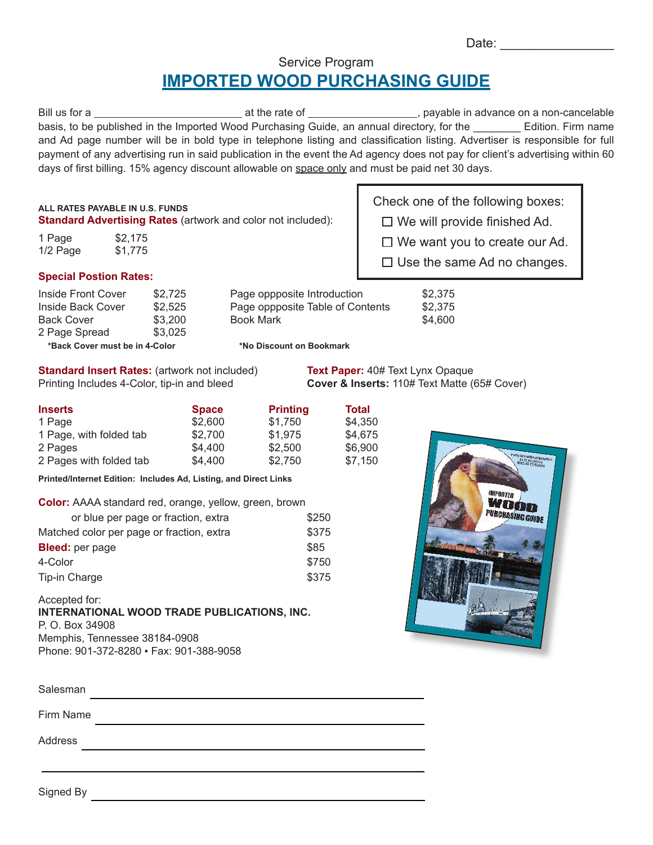| Date: |  |  |  |  |  |  |  |
|-------|--|--|--|--|--|--|--|
|       |  |  |  |  |  |  |  |

# Service Program **IMPORTED WOOD PURCHASING GUIDE**

| Bill us for a                                                                                                                 | at the rate of | payable in advance on a non-cancelable |                    |
|-------------------------------------------------------------------------------------------------------------------------------|----------------|----------------------------------------|--------------------|
| basis, to be published in the Imported Wood Purchasing Guide, an annual directory, for the                                    |                |                                        | Edition. Firm name |
| and Ad page number will be in bold type in telephone listing and classification listing. Advertiser is responsible for full   |                |                                        |                    |
| payment of any advertising run in said publication in the event the Ad agency does not pay for client's advertising within 60 |                |                                        |                    |
| days of first billing. 15% agency discount allowable on space only and must be paid net 30 days.                              |                |                                        |                    |

| ALL RATES PAYABLE IN U.S. FUNDS<br><b>Standard Advertising Rates (artwork and color not included):</b> |                    | Check one of the following boxes:                                          |  |  |  |
|--------------------------------------------------------------------------------------------------------|--------------------|----------------------------------------------------------------------------|--|--|--|
|                                                                                                        |                    | $\Box$ We will provide finished Ad.                                        |  |  |  |
| 1 Page<br>$1/2$ Page                                                                                   | \$2.175<br>\$1.775 | $\Box$ We want you to create our Ad.<br>$\Box$ Use the same Ad no changes. |  |  |  |
| <b>Special Postion Rates:</b>                                                                          |                    |                                                                            |  |  |  |

### **Special Postion Rates:**

| Inside Front Cover             | \$2.725 | Page oppposite Introducti |
|--------------------------------|---------|---------------------------|
| Inside Back Cover              | \$2.525 | Page oppposite Table of C |
| <b>Back Cover</b>              | \$3,200 | Book Mark                 |
| 2 Page Spread                  | \$3,025 |                           |
| *Back Cover must be in 4-Color |         | *No Discount on Bookmark  |

Page oppposite Introduction \$2,375<br>Page oppposite Table of Contents \$2,375 Page oppposite Table of Contents \$2,375<br>Book Mark \$4,600 Back Cover \$3,200 Book Mark \$4,600

**Standard Insert Rates:** (artwork not included) **Text Paper:** 40# Text Lynx Opaque Printing Includes 4-Color, tip-in and bleed **Cover & Inserts:** 110# Text Matte (6 **Cover & Inserts:** 110# Text Matte (65# Cover)

| <b>Inserts</b>          | <b>Space</b> | <b>Printing</b> | <b>Total</b> |
|-------------------------|--------------|-----------------|--------------|
| 1 Page                  | \$2,600      | \$1.750         | \$4,350      |
| 1 Page, with folded tab | \$2.700      | \$1,975         | \$4.675      |
| 2 Pages                 | \$4.400      | \$2,500         | \$6,900      |
| 2 Pages with folded tab | \$4.400      | \$2.750         | \$7.150      |

**Printed/Internet Edition: Includes Ad, Listing, and Direct Links**

**Color:** AAAA standard red, orange, yellow, green, brown

| or blue per page or fraction, extra       | \$250 |
|-------------------------------------------|-------|
| Matched color per page or fraction, extra | \$375 |
| <b>Bleed:</b> per page                    | \$85  |
| 4-Color                                   | \$750 |
| Tip-in Charge                             | \$375 |

### Accepted for:

**INTERNATIONAL WOOD TRADE PUBLICATIONS, INC.** P. O. Box 34908 Memphis, Tennessee 38184-0908 Phone: 901-372-8280 ▪ Fax: 901-388-9058



| Salesman  |  |  |  |
|-----------|--|--|--|
| Firm Name |  |  |  |
| Address   |  |  |  |
|           |  |  |  |
| Signed By |  |  |  |